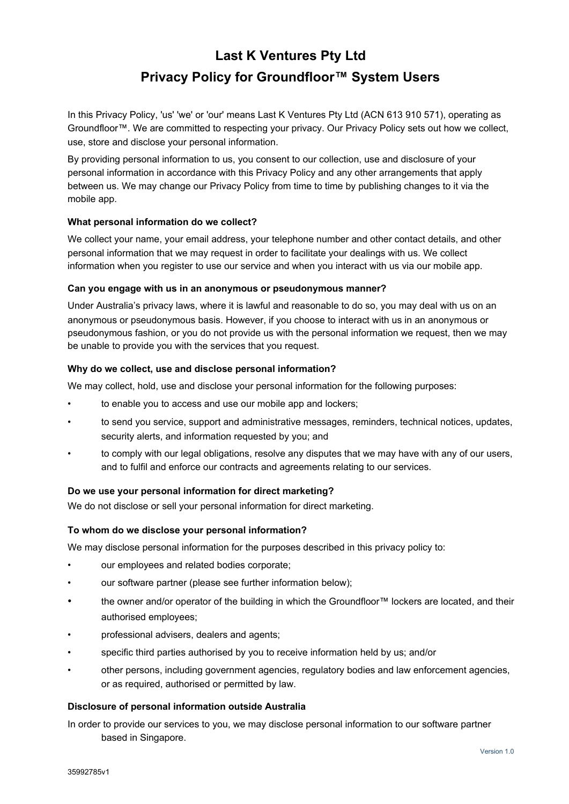# **Last K Ventures Pty Ltd Privacy Policy for Groundfloor™ System Users**

In this Privacy Policy, 'us' 'we' or 'our' means Last K Ventures Pty Ltd (ACN 613 910 571), operating as Groundfloor™. We are committed to respecting your privacy. Our Privacy Policy sets out how we collect, use, store and disclose your personal information.

By providing personal information to us, you consent to our collection, use and disclosure of your personal information in accordance with this Privacy Policy and any other arrangements that apply between us. We may change our Privacy Policy from time to time by publishing changes to it via the mobile app.

## **What personal information do we collect?**

We collect your name, your email address, your telephone number and other contact details, and other personal information that we may request in order to facilitate your dealings with us. We collect information when you register to use our service and when you interact with us via our mobile app.

## **Can you engage with us in an anonymous or pseudonymous manner?**

Under Australia's privacy laws, where it is lawful and reasonable to do so, you may deal with us on an anonymous or pseudonymous basis. However, if you choose to interact with us in an anonymous or pseudonymous fashion, or you do not provide us with the personal information we request, then we may be unable to provide you with the services that you request.

## **Why do we collect, use and disclose personal information?**

We may collect, hold, use and disclose your personal information for the following purposes:

- to enable you to access and use our mobile app and lockers;
- to send you service, support and administrative messages, reminders, technical notices, updates, security alerts, and information requested by you; and
- to comply with our legal obligations, resolve any disputes that we may have with any of our users, and to fulfil and enforce our contracts and agreements relating to our services.

#### **Do we use your personal information for direct marketing?**

We do not disclose or sell your personal information for direct marketing.

#### **To whom do we disclose your personal information?**

We may disclose personal information for the purposes described in this privacy policy to:

- our employees and related bodies corporate;
- our software partner (please see further information below);
- the owner and/or operator of the building in which the Groundfloor™ lockers are located, and their authorised employees;
- professional advisers, dealers and agents;
- specific third parties authorised by you to receive information held by us; and/or
- other persons, including government agencies, regulatory bodies and law enforcement agencies, or as required, authorised or permitted by law.

#### **Disclosure of personal information outside Australia**

In order to provide our services to you, we may disclose personal information to our software partner based in Singapore.